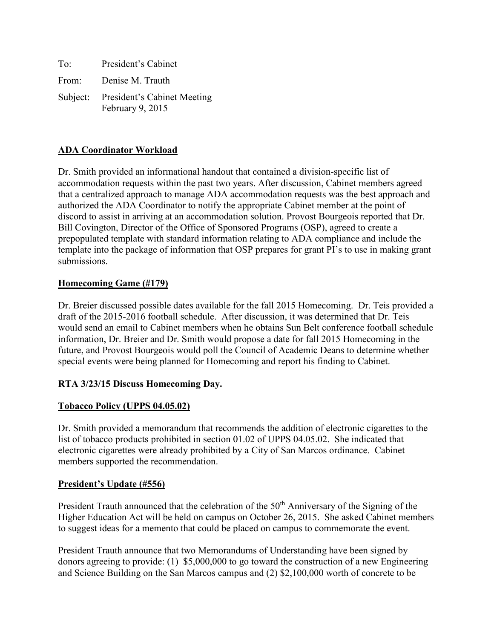| To: | President's Cabinet                                      |
|-----|----------------------------------------------------------|
|     | From: Denise M. Trauth                                   |
|     | Subject: President's Cabinet Meeting<br>February 9, 2015 |

# **ADA Coordinator Workload**

Dr. Smith provided an informational handout that contained a division-specific list of accommodation requests within the past two years. After discussion, Cabinet members agreed that a centralized approach to manage ADA accommodation requests was the best approach and authorized the ADA Coordinator to notify the appropriate Cabinet member at the point of discord to assist in arriving at an accommodation solution. Provost Bourgeois reported that Dr. Bill Covington, Director of the Office of Sponsored Programs (OSP), agreed to create a prepopulated template with standard information relating to ADA compliance and include the template into the package of information that OSP prepares for grant PI's to use in making grant submissions.

#### **Homecoming Game (#179)**

Dr. Breier discussed possible dates available for the fall 2015 Homecoming. Dr. Teis provided a draft of the 2015-2016 football schedule. After discussion, it was determined that Dr. Teis would send an email to Cabinet members when he obtains Sun Belt conference football schedule information, Dr. Breier and Dr. Smith would propose a date for fall 2015 Homecoming in the future, and Provost Bourgeois would poll the Council of Academic Deans to determine whether special events were being planned for Homecoming and report his finding to Cabinet.

## **RTA 3/23/15 Discuss Homecoming Day.**

## **Tobacco Policy (UPPS 04.05.02)**

Dr. Smith provided a memorandum that recommends the addition of electronic cigarettes to the list of tobacco products prohibited in section 01.02 of UPPS 04.05.02. She indicated that electronic cigarettes were already prohibited by a City of San Marcos ordinance. Cabinet members supported the recommendation.

#### **President's Update (#556)**

President Trauth announced that the celebration of the 50<sup>th</sup> Anniversary of the Signing of the Higher Education Act will be held on campus on October 26, 2015. She asked Cabinet members to suggest ideas for a memento that could be placed on campus to commemorate the event.

President Trauth announce that two Memorandums of Understanding have been signed by donors agreeing to provide: (1) \$5,000,000 to go toward the construction of a new Engineering and Science Building on the San Marcos campus and (2) \$2,100,000 worth of concrete to be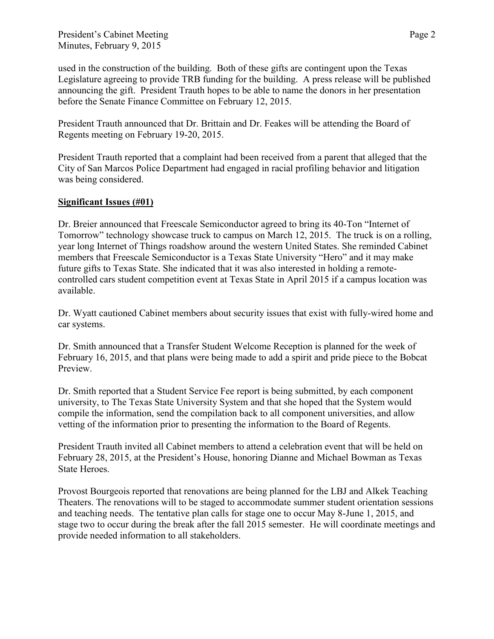used in the construction of the building. Both of these gifts are contingent upon the Texas Legislature agreeing to provide TRB funding for the building. A press release will be published announcing the gift. President Trauth hopes to be able to name the donors in her presentation before the Senate Finance Committee on February 12, 2015.

President Trauth announced that Dr. Brittain and Dr. Feakes will be attending the Board of Regents meeting on February 19-20, 2015.

President Trauth reported that a complaint had been received from a parent that alleged that the City of San Marcos Police Department had engaged in racial profiling behavior and litigation was being considered.

# **Significant Issues (#01)**

Dr. Breier announced that Freescale Semiconductor agreed to bring its 40-Ton "Internet of Tomorrow" technology showcase truck to campus on March 12, 2015. The truck is on a rolling, year long Internet of Things roadshow around the western United States. She reminded Cabinet members that Freescale Semiconductor is a Texas State University "Hero" and it may make future gifts to Texas State. She indicated that it was also interested in holding a remotecontrolled cars student competition event at Texas State in April 2015 if a campus location was available.

Dr. Wyatt cautioned Cabinet members about security issues that exist with fully-wired home and car systems.

Dr. Smith announced that a Transfer Student Welcome Reception is planned for the week of February 16, 2015, and that plans were being made to add a spirit and pride piece to the Bobcat Preview.

Dr. Smith reported that a Student Service Fee report is being submitted, by each component university, to The Texas State University System and that she hoped that the System would compile the information, send the compilation back to all component universities, and allow vetting of the information prior to presenting the information to the Board of Regents.

President Trauth invited all Cabinet members to attend a celebration event that will be held on February 28, 2015, at the President's House, honoring Dianne and Michael Bowman as Texas State Heroes.

Provost Bourgeois reported that renovations are being planned for the LBJ and Alkek Teaching Theaters. The renovations will to be staged to accommodate summer student orientation sessions and teaching needs. The tentative plan calls for stage one to occur May 8-June 1, 2015, and stage two to occur during the break after the fall 2015 semester. He will coordinate meetings and provide needed information to all stakeholders.